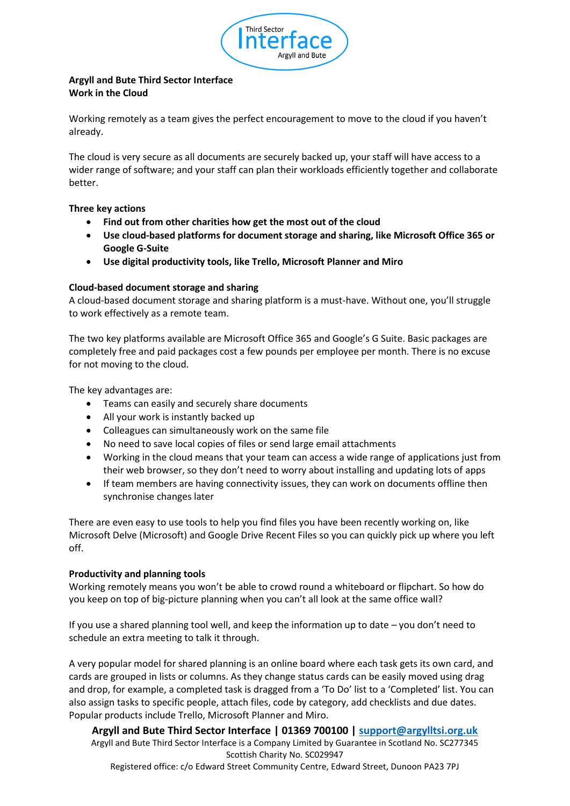

# **Argyll and Bute Third Sector Interface Work in the Cloud**

Working remotely as a team gives the perfect encouragement to move to the cloud if you haven't already.

The cloud is very secure as all documents are securely backed up, your staff will have access to a wider range of software; and your staff can plan their workloads efficiently together and collaborate better.

## **Three key actions**

- **Find out from other charities how get the most out of the cloud**
- **Use cloud-based platforms for document storage and sharing, like Microsoft Office 365 or Google G-Suite**
- **Use digital productivity tools, like Trello, Microsoft Planner and Miro**

## **Cloud-based document storage and sharing**

A cloud-based document storage and sharing platform is a must-have. Without one, you'll struggle to work effectively as a remote team.

The two key platforms available are Microsoft Office 365 and Google's G Suite. Basic packages are completely free and paid packages cost a few pounds per employee per month. There is no excuse for not moving to the cloud.

The key advantages are:

- Teams can easily and securely share documents
- All your work is instantly backed up
- Colleagues can simultaneously work on the same file
- No need to save local copies of files or send large email attachments
- Working in the cloud means that your team can access a wide range of applications just from their web browser, so they don't need to worry about installing and updating lots of apps
- If team members are having connectivity issues, they can work on documents offline then synchronise changes later

There are even easy to use tools to help you find files you have been recently working on, like Microsoft Delve (Microsoft) and Google Drive Recent Files so you can quickly pick up where you left off.

#### **Productivity and planning tools**

Working remotely means you won't be able to crowd round a whiteboard or flipchart. So how do you keep on top of big-picture planning when you can't all look at the same office wall?

If you use a shared planning tool well, and keep the information up to date – you don't need to schedule an extra meeting to talk it through.

A very popular model for shared planning is an online board where each task gets its own card, and cards are grouped in lists or columns. As they change status cards can be easily moved using drag and drop, for example, a completed task is dragged from a 'To Do' list to a 'Completed' list. You can also assign tasks to specific people, attach files, code by category, add checklists and due dates. Popular products include Trello, Microsoft Planner and Miro.

**Argyll and Bute Third Sector Interface | 01369 700100 | [support@argylltsi.org.uk](mailto:support@argylltsi.org.uk)** Argyll and Bute Third Sector Interface is a Company Limited by Guarantee in Scotland No. SC277345 Scottish Charity No. SC029947 Registered office: c/o Edward Street Community Centre, Edward Street, Dunoon PA23 7PJ